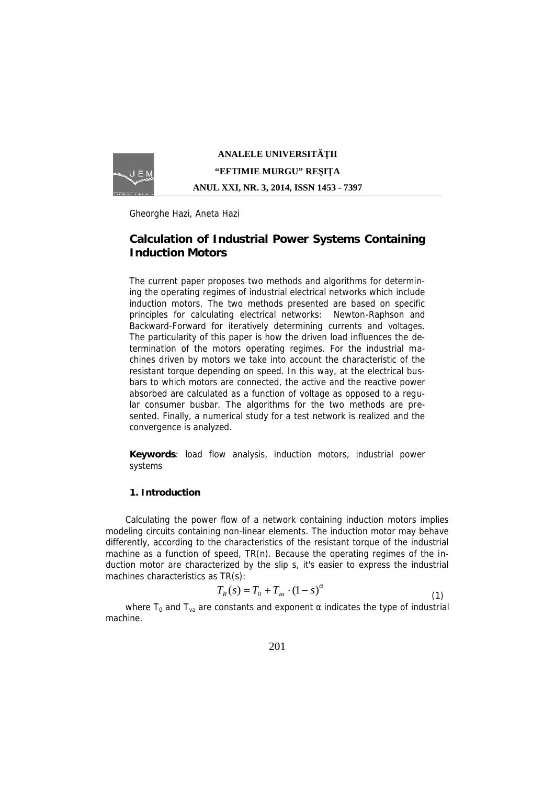

# **ANALELE UNIVERSIT II "EFTIMIE MURGU" RE I A ANUL XXI, NR. 3, 2014, ISSN 1453 - 7397**

Gheorghe Hazi, Aneta Hazi

# **Calculation of Industrial Power Systems Containing Induction Motors**

*The current paper proposes two methods and algorithms for determining the operating regimes of industrial electrical networks which include induction motors. The two methods presented are based on specific principles for calculating electrical networks: Newton-Raphson and Backward-Forward for iteratively determining currents and voltages. The particularity of this paper is how the driven load influences the determination of the motors operating regimes. For the industrial machines driven by motors we take into account the characteristic of the resistant torque depending on speed. In this way, at the electrical busbars to which motors are connected, the active and the reactive power absorbed are calculated as a function of voltage as opposed to a regular consumer busbar. The algorithms for the two methods are presented. Finally, a numerical study for a test network is realized and the convergence is analyzed.*

*Keywords: load flow analysis, induction motors, industrial power systems*

### **1. Introduction**

Calculating the power flow of a network containing induction motors implies modeling circuits containing non-linear elements. The induction motor may behave differently, according to the characteristics of the resistant torque of the industrial machine as a function of speed, TR(n). Because the operating regimes of the induction motor are characterized by the slip s, it's easier to express the industrial machines characteristics as TR(s):

$$
T_R(s) = T_0 + T_{va} \cdot (1 - s)^r \tag{1}
$$

where  $T_0$  and  $T_{va}$  are constants and exponent indicates the type of industrial machine.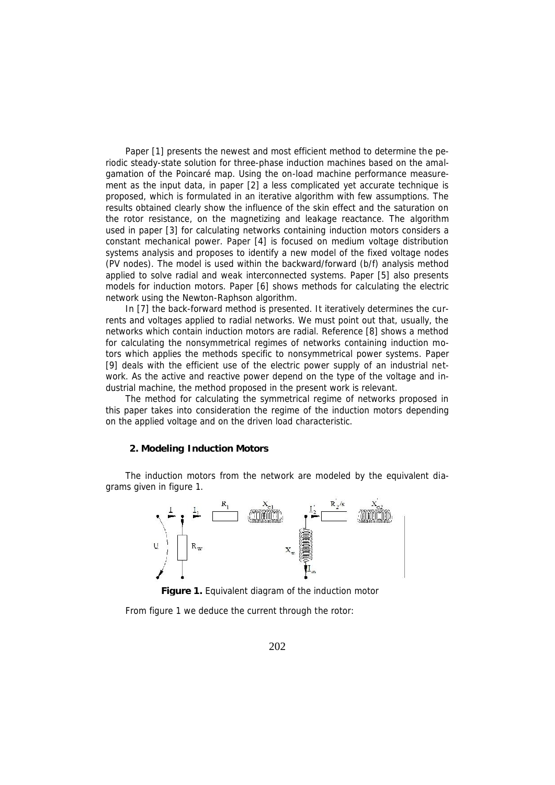Paper [1] presents the newest and most efficient method to determine the periodic steady-state solution for three-phase induction machines based on the amalgamation of the Poincaré map. Using the on-load machine performance measurement as the input data, in paper [2] a less complicated yet accurate technique is proposed, which is formulated in an iterative algorithm with few assumptions. The results obtained clearly show the influence of the skin effect and the saturation on the rotor resistance, on the magnetizing and leakage reactance. The algorithm used in paper [3] for calculating networks containing induction motors considers a constant mechanical power. Paper [4] is focused on medium voltage distribution systems analysis and proposes to identify a new model of the fixed voltage nodes (PV nodes). The model is used within the backward/forward (b/f) analysis method applied to solve radial and weak interconnected systems. Paper [5] also presents models for induction motors. Paper [6] shows methods for calculating the electric network using the Newton-Raphson algorithm.

In [7] the back-forward method is presented. It iteratively determines the currents and voltages applied to radial networks. We must point out that, usually, the networks which contain induction motors are radial. Reference [8] shows a method for calculating the nonsymmetrical regimes of networks containing induction motors which applies the methods specific to nonsymmetrical power systems. Paper [9] deals with the efficient use of the electric power supply of an industrial network. As the active and reactive power depend on the type of the voltage and industrial machine, the method proposed in the present work is relevant.

The method for calculating the symmetrical regime of networks proposed in this paper takes into consideration the regime of the induction motors depending on the applied voltage and on the driven load characteristic.

#### **2. Modeling Induction Motors**

The induction motors from the network are modeled by the equivalent diagrams given in figure 1.



**Figure 1.** Equivalent diagram of the induction motor

From figure 1 we deduce the current through the rotor: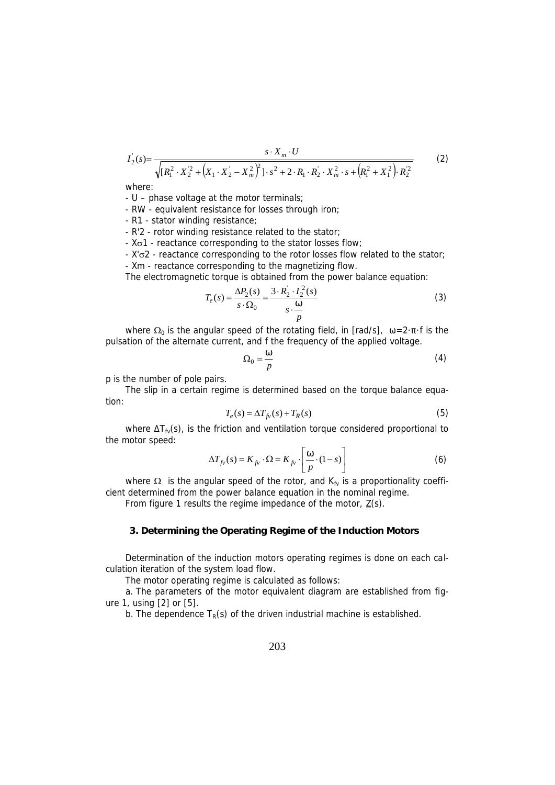$$
I_2(s) = \frac{s \cdot X_m \cdot U}{\sqrt{[R_1^2 \cdot X_2^2 + (X_1 \cdot X_2 - X_m^2)]^2 \cdot s^2 + 2 \cdot R_1 \cdot R_2^2 \cdot X_m^2 \cdot s + (R_1^2 + X_1^2) \cdot R_2^2}}
$$
(2)

where:

- U – phase voltage at the motor terminals;

- RW - equivalent resistance for losses through iron;

- R1 - stator winding resistance;

- R'2 - rotor winding resistance related to the stator;

 $-$  X $\sigma$ 1 - reactance corresponding to the stator losses flow;

- X' $\sigma$ 2 - reactance corresponding to the rotor losses flow related to the stator;

- Xm - reactance corresponding to the magnetizing flow.

The electromagnetic torque is obtained from the power balance equation:

$$
T_e(s) = \frac{\Delta P_2(s)}{s \cdot \Omega_0} = \frac{3 \cdot R_2 \cdot I_2^2(s)}{s \cdot \frac{S}{p}}
$$
 (3)

where  $\Omega_0$  is the angular speed of the rotating field, in [rad/s], =2· f is the pulsation of the alternate current, and f the frequency of the applied voltage.

$$
\Omega_0 = \frac{\tilde{S}}{p} \tag{4}
$$

p is the number of pole pairs.

The slip in a certain regime is determined based on the torque balance equation:

$$
T_e(s) = \Delta T_{fv}(s) + T_R(s)
$$
\n<sup>(5)</sup>

where  $T_{fv}(s)$ , is the friction and ventilation torque considered proportional to the motor speed:

$$
\Delta T_{f\nu}(s) = K_{f\nu} \cdot \Omega = K_{f\nu} \cdot \left[\frac{\tilde{S}}{p} \cdot (1 - s)\right]
$$
 (6)

where  $\Omega$  is the angular speed of the rotor, and  $K_{fv}$  is a proportionality coefficient determined from the power balance equation in the nominal regime.

From figure 1 results the regime impedance of the motor,  $\underline{Z}(s)$ .

#### **3. Determining the Operating Regime of the Induction Motors**

Determination of the induction motors operating regimes is done on each calculation iteration of the system load flow.

The motor operating regime is calculated as follows:

a. The parameters of the motor equivalent diagram are established from figure 1, using [2] or [5].

b. The dependence  $T_R(s)$  of the driven industrial machine is established.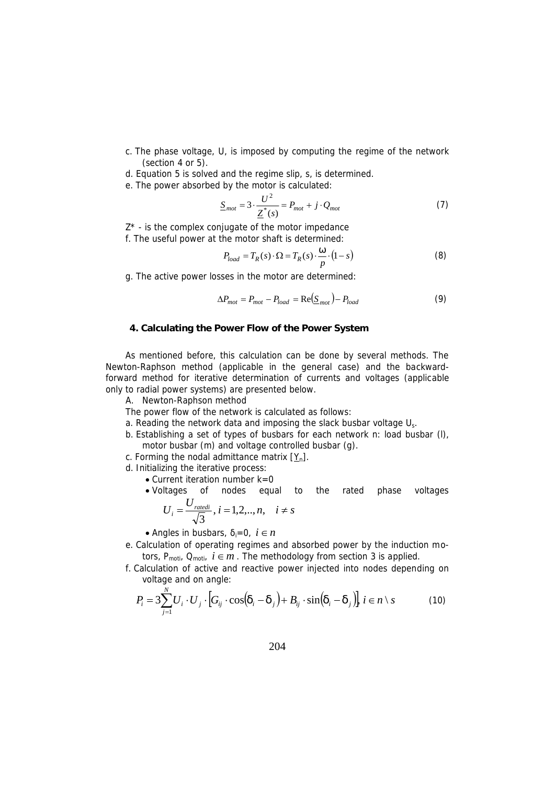- c. The phase voltage, U, is imposed by computing the regime of the network (section 4 or 5).
- d. Equation 5 is solved and the regime slip, s, is determined.
- e. The power absorbed by the motor is calculated:

$$
\underline{S}_{mot} = 3 \cdot \frac{U^2}{\underline{Z}^*(s)} = P_{mot} + j \cdot Q_{mot}
$$
 (7)

 $Z^*$  - is the complex conjugate of the motor impedance f. The useful power at the motor shaft is determined:

$$
P_{load} = T_R(s) \cdot \Omega = T_R(s) \cdot \frac{\tilde{S}}{p} \cdot (1 - s)
$$
 (8)

g. The active power losses in the motor are determined:

$$
\Delta P_{mot} = P_{mot} - P_{load} = \text{Re}(\underline{S}_{mot}) - P_{load}
$$
\n(9)

#### **4. Calculating the Power Flow of the Power System**

As mentioned before, this calculation can be done by several methods. The Newton-Raphson method (applicable in the general case) and the backwardforward method for iterative determination of currents and voltages (applicable only to radial power systems) are presented below.

*A. Newton-Raphson method*

The power flow of the network is calculated as follows:

- a. Reading the network data and imposing the slack busbar voltage  $U_s$ .
- b. Establishing a set of types of busbars for each network n: load busbar (l), motor busbar (m) and voltage controlled busbar (g).
- c. Forming the nodal admittance matrix  $[Y_n]$ .
- d. Initializing the iterative process:
	- Current iteration number k=0
	- Voltages of nodes equal to the rated phase voltages  $U_{\text{radidi}}$   $\cdot$  12

$$
U_i = \frac{U_{radedi}}{\sqrt{3}}, i = 1, 2, ..., n, \quad i \neq s
$$

- Angles in busbars,  $i=0$ ,  $i \in n$
- e. Calculation of operating regimes and absorbed power by the induction motors, P<sub>moti</sub>,  $Q_{\text{motiv}}$ ,  $i \in m$ . The methodology from section 3 is applied.
- f. Calculation of active and reactive power injected into nodes depending on voltage and on angle:

$$
P_i = 3\sum_{j=1}^{N} U_i \cdot U_j \cdot \left[G_{ij} \cdot \cos(u_i - u_j) + B_{ij} \cdot \sin(u_i - u_j)\right], i \in n \setminus s \tag{10}
$$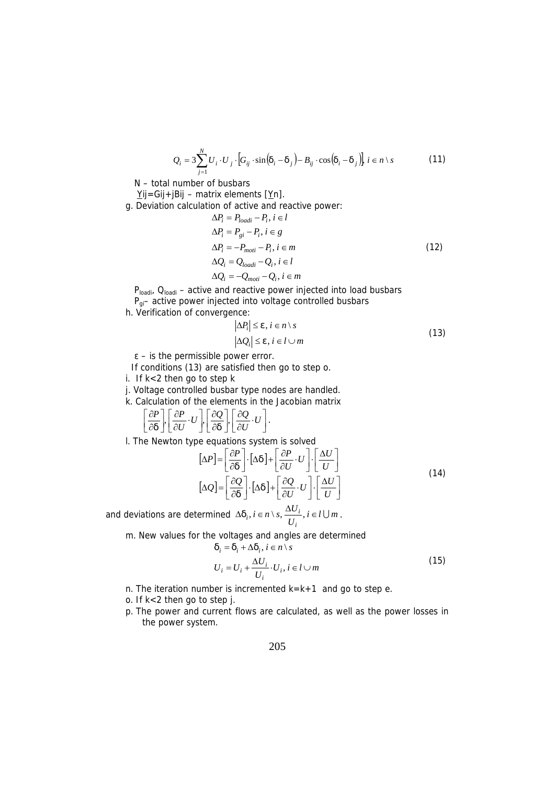$$
Q_i = 3\sum_{j=1}^{N} U_i \cdot U_j \cdot [G_{ij} \cdot \sin(u_i - u_j) - B_{ij} \cdot \cos(u_i - u_j)] \quad i \in n \setminus s
$$
 (11)

 $N -$  total number of busbars

- Yij=Gij+jBij matrix elements  $[Yn]$ .
- g. Deviation calculation of active and reactive power:

$$
\Delta P_i = P_{loadi} - P_i, i \in l
$$
  
\n
$$
\Delta P_i = P_{gi} - P_i, i \in g
$$
  
\n
$$
\Delta P_i = -P_{moti} - P_i, i \in m
$$
  
\n
$$
\Delta Q_i = Q_{loadi} - Q_i, i \in l
$$
  
\n
$$
\Delta Q_i = -Q_{moti} - Q_i, i \in m
$$
  
\n(12)

 $P<sub>loadi</sub>$ ,  $Q<sub>loadi</sub>$  – active and reactive power injected into load busbars

 $P_{qi}$  active power injected into voltage controlled busbars

h. Verification of convergence:

$$
|\Delta P_i| \le v, i \in n \setminus s
$$
  
\n
$$
|\Delta Q_i| \le v, i \in l \cup m
$$
\n(13)

– is the permissible power error.

If conditions (13) are satisfied then go to step o.

- i. If k<2 then go to step k
- j. Voltage controlled busbar type nodes are handled.
- k. Calculation of the elements in the Jacobian matrix

The contract of the contract of  $\mathbf{J}$  and  $\mathbf{J}$  are all  $\mathbf{J}$  and  $\mathbf{J}$  are all  $\mathbf{J}$ The contract of the contract of the  $\left[\begin{array}{c}\n\overline{\partial U} \cdot U\n\end{array}\right]$ .  $\left[\begin{array}{c}\n\frac{\partial Q}{\partial U}\cdot U\n\end{array}\right].$  $\left[\frac{\partial}{\partial U}\right]$  $\left| \begin{array}{c} \partial Q & \mathbf{U} \end{array} \right|$  $\left[\overline{\partial u}\right], \left[\overline{\partial U}\right]^{\cdot U}$  $\partial Q$  |  $\partial Q$   $_{II}$  |  $\partial U$   $\left| \partial U \right|$  $\partial Q$  |  $\partial Q$  |  $\Box$  $\left[\frac{\partial}{\partial u}\right]$   $\left[\frac{\partial}{\partial v}\right]$   $\left[\frac{\partial}{\partial v}\right]$  $\left| \begin{array}{c} \partial Q \end{array} \right| \left| \begin{array}{c} \partial Q \end{array} \right|_{LU}$  $\left[\overline{\partial U}^{+U}\right], \left[\overline{\partial U}^{+}\right], \left[\overline{\partial U}^{+U}\right].$  $\left[\frac{\partial P}{\partial U}\cdot U\right], \left[\frac{\partial Q}{\partial u}\right], \left[\frac{\partial Q}{\partial U}\cdot U\right].$  $\left| \begin{array}{cc} \partial P & \ H & \end{array} \right| \left| \begin{array}{cc} \partial Q & \partial Q & \ \end{array} \right|$  $\left[\overline{\partial u}\right], \left[\overline{\partial U}\right]^{\cdot U}, \left[\overline{\overline{\partial u}}\right], \left[\overline{\overline{\partial U}}\right]^{\cdot U}$  $|\partial P| |\partial P|_{II}$   $|\partial Q| |\partial Q|_{II}$  $\frac{\partial P}{\partial u}$ ,  $\left[\frac{\partial P}{\partial U} \cdot U\right]$ ,  $\left[\frac{\partial Q}{\partial u}\right]$ ,  $\left[\frac{\partial Q}{\partial U} \cdot U\right]$ .  $\left[\frac{\partial P}{\partial U}\cdot U\right], \left[\frac{\partial Q}{\partial U}\right], \left[\frac{\partial Q}{\partial U}\cdot U\right].$  $\frac{P}{\omega}$ ,  $\left[\frac{\partial P}{\partial U}\cdot U\right], \left[\frac{\partial Q}{\partial U}\right], \left[\frac{\partial Q}{\partial U}\cdot U\right].$ 

l. The Newton type equations system is solved

$$
[\Delta P] = \left[\frac{\partial P}{\partial u}\right] \cdot [\Delta u] + \left[\frac{\partial P}{\partial U} \cdot U\right] \cdot \left[\frac{\Delta U}{U}\right]
$$
  
\n
$$
[\Delta Q] = \left[\frac{\partial Q}{\partial u}\right] \cdot [\Delta u] + \left[\frac{\partial Q}{\partial U} \cdot U\right] \cdot \left[\frac{\Delta U}{U}\right]
$$
\n(14)

and deviations are determined  $\Delta u_i, i \in n \setminus s$ ,  $\frac{\Delta u_i}{U_i}, i \in l \cup m$ .  $i \in n \setminus s$ ,  $\frac{\Delta U_i}{\Delta x}$ ,  $i \in l \cup m$ . *i*  $\Delta u_i, i \in n \setminus s, \frac{\Delta U_i}{I}, i \in l \cup m$ .

m. New values for the voltages and angles are determined

$$
i = u_i + \Delta u_i, \, i \in n \setminus s
$$

$$
u_i = u_i + \Delta u_i, i \in n \setminus s
$$
  
\n
$$
U_i = U_i + \frac{\Delta U_i}{U_i} \cdot U_i, i \in l \cup m
$$
\n(15)

- n. The iteration number is incremented  $k=k+1$  and go to step e.
- o. If k<2 then go to step j.
- p. The power and current flows are calculated, as well as the power losses in the power system.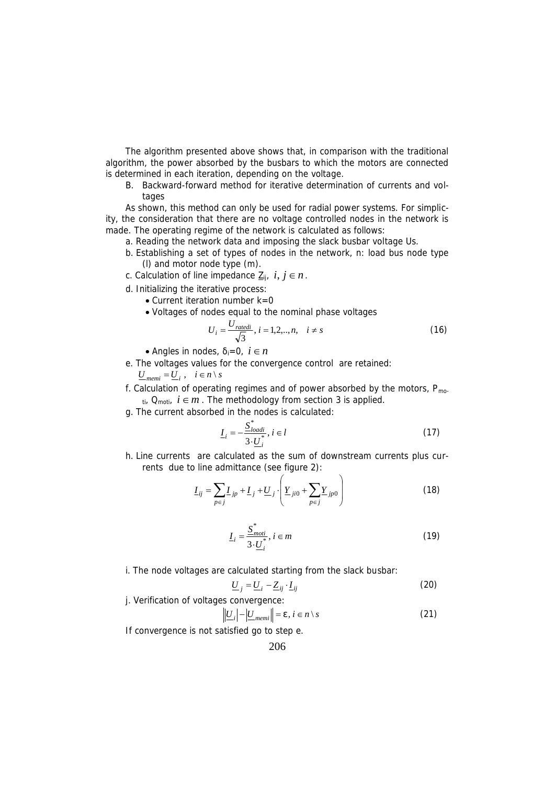The algorithm presented above shows that, in comparison with the traditional algorithm, the power absorbed by the busbars to which the motors are connected is determined in each iteration, depending on the voltage.

*B. Backward-forward method for iterative determination of currents and voltages*

As shown, this method can only be used for radial power systems. For simplicity, the consideration that there are no voltage controlled nodes in the network is made. The operating regime of the network is calculated as follows:

- a. Reading the network data and imposing the slack busbar voltage Us.
- b. Establishing a set of types of nodes in the network, n: load bus node type (l) and motor node type (m).
- c. Calculation of line impedance  $\underline{Z}_{ii}$ ,  $i, j \in n$ .
- d. Initializing the iterative process:
	- $\bullet$  Current iteration number k=0
	- Voltages of nodes equal to the nominal phase voltages

$$
U_i = \frac{U_{\text{ratedi}}}{\sqrt{3}}, i = 1, 2, ..., n, \quad i \neq s
$$
 (16)

• Angles in nodes,  $i=0$ ,  $i \in n$ 

e. The voltages values for the convergence control are retained:

$$
\underline{U}_{\textit{memi}} = \underline{U}_i \ , \quad i \in n \setminus s
$$

f. Calculation of operating regimes and of power absorbed by the motors,  $P_{\text{mo}}$ .  $t_i$ ,  $Q_{\text{mot}}$ ,  $i \in m$ . The methodology from section 3 is applied.

g. The current absorbed in the nodes is calculated:

$$
\underline{I}_i = -\frac{\underline{S}^*_{loadi}}{3 \cdot \underline{U}_i^*}, i \in l \tag{17}
$$

h. Line currents are calculated as the sum of downstream currents plus currents due to line admittance (see figure 2):

$$
\underline{I}_{ij} = \sum_{p \in j} L_{jp} + \underline{I}_{j} + \underline{U}_{j} \cdot \left( \underline{Y}_{ji0} + \sum_{p \in j} \underline{Y}_{jp0} \right)
$$
(18)

$$
\underline{I}_i = \frac{\underline{S}^*_{mot}}{3 \cdot \underline{U}_i^*}, i \in m \tag{19}
$$

i. The node voltages are calculated starting from the slack busbar:

$$
\underline{U}_j = \underline{U}_i - \underline{Z}_{ij} \cdot \underline{I}_{ij} \tag{20}
$$

j. Verification of voltages convergence:

$$
\left| \underline{U}_i \right| - \left| \underline{U}_{memi} \right| = \mathsf{v}, i \in \mathsf{n} \setminus \mathsf{s} \tag{21}
$$

If convergence is not satisfied go to step e.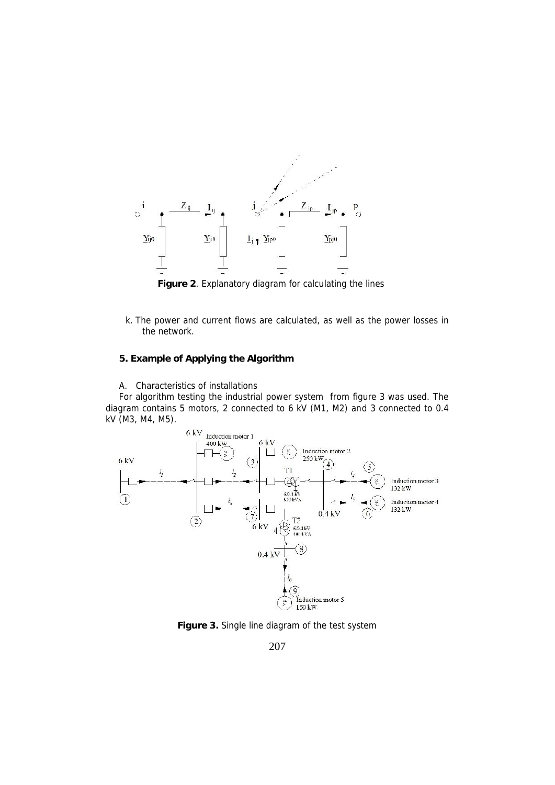

**Figure 2**. Explanatory diagram for calculating the lines

- k. The power and current flows are calculated, as well as the power losses in the network.
- **5. Example of Applying the Algorithm**
- *A. Characteristics of installations*

For algorithm testing the industrial power system from figure 3 was used. The diagram contains 5 motors, 2 connected to 6 kV (M1, M2) and 3 connected to 0.4 kV (M3, M4, M5).



**Figure 3.** Single line diagram of the test system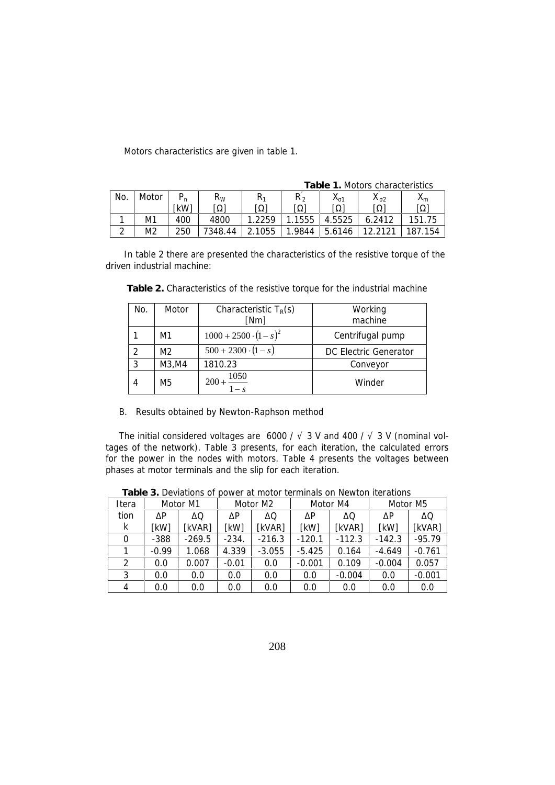Motors characteristics are given in table 1.

|            |                |      | Table 1. Motors characteristics |      |        |                    |        |         |  |
|------------|----------------|------|---------------------------------|------|--------|--------------------|--------|---------|--|
| No.        | Motor          |      | $R_W$                           | R۱   | R,     | $\mathbf{\Lambda}$ |        | $X_{m}$ |  |
|            |                | [kW] |                                 |      |        |                    |        |         |  |
|            | M1             | 400  | 4800                            | 2259 | 1555   | 4.5525             | 6.2412 | 151.75  |  |
| $\sqrt{2}$ | M <sub>2</sub> | 250  | 7348.44                         | 1055 | 1.9844 | 5.6146             |        | 187.154 |  |

In table 2 there are presented the characteristics of the resistive torque of the driven industrial machine:

| No. | Motor          | Characteristic $T_R(s)$<br>[Nm] | Working<br>machine    |
|-----|----------------|---------------------------------|-----------------------|
|     | M1             | $1000 + 2500 \cdot (1 - s)^2$   | Centrifugal pump      |
|     | M <sub>2</sub> | $500 + 2300 \cdot (1 - s)$      | DC Electric Generator |
| 3   | M3, M4         | 1810.23                         | Conveyor              |
| 4   | M5             | $\frac{1050}{2}$<br>$200 +$     | Winder                |

**Table 2.** Characteristics of the resistive torque for the industrial machine

*B. Results obtained by Newton-Raphson method*

The initial considered voltages are 6000 / 3 V and 400 / 3 V (nominal voltages of the network). Table 3 presents, for each iteration, the calculated errors for the power in the nodes with motors. Table 4 presents the voltages between phases at motor terminals and the slip for each iteration.

| Itera | Motor M1 |          | Motor M2 |          |          | Motor M4 | Motor M5 |          |
|-------|----------|----------|----------|----------|----------|----------|----------|----------|
| tion  | P        |          | P        |          |          |          |          |          |
| k     | [kW]     | [kVAR]   | [kW]     | [kVAR]   | [kW]     | [kVAR]   | [kW]     | [kVAR]   |
|       | $-388$   | $-269.5$ | $-234.$  | $-216.3$ | $-120.1$ | $-112.3$ | $-142.3$ | $-95.79$ |
|       | $-0.99$  | 1.068    | 4.339    | $-3.055$ | $-5.425$ | 0.164    | $-4.649$ | $-0.761$ |
|       | 0.0      | 0.007    | $-0.01$  | 0.0      | $-0.001$ | 0.109    | $-0.004$ | 0.057    |
| 3     | 0.0      | 0.0      | 0.0      | 0.0      | 0.0      | $-0.004$ | 0.0      | $-0.001$ |
|       | 0.0      | 0.0      | 0.0      | 0.0      | 0.0      | 0.0      | 0.0      | 0.0      |

**Table 3.** Deviations of power at motor terminals on Newton iterations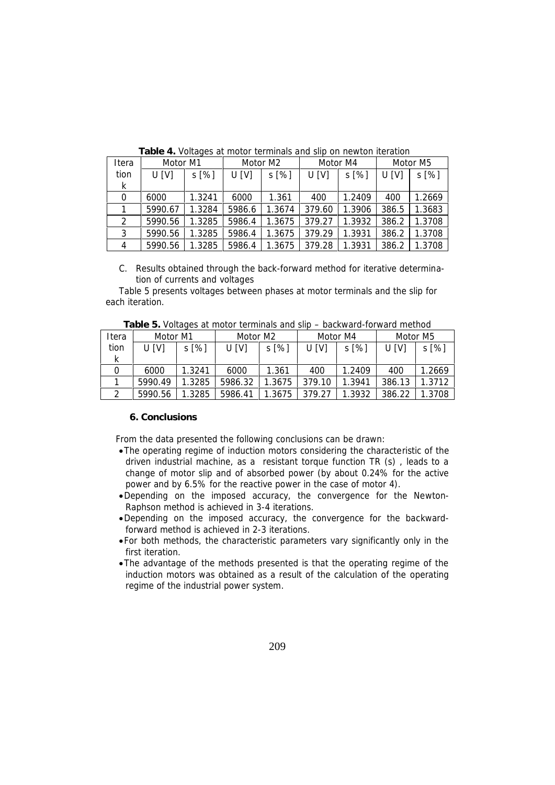| Itera        | Motor M1 |         | Motor M2 |         | Motor M4 |        | Motor M5 |        |
|--------------|----------|---------|----------|---------|----------|--------|----------|--------|
| tion         | U[V]     | $S[\%]$ | U[V]     | $S[\%]$ | U[V]     | s [%]  | U[V]     | s [%]  |
| $\mathsf{k}$ |          |         |          |         |          |        |          |        |
|              | 6000     | 1.3241  | 6000     | 1.361   | 400      | 1.2409 | 400      | 1.2669 |
|              | 5990.67  | 1.3284  | 5986.6   | 1.3674  | 379.60   | 1.3906 | 386.5    | 1.3683 |
|              | 5990.56  | 1.3285  | 5986.4   | 1.3675  | 379.27   | 1.3932 | 386.2    | 1.3708 |
| 3            | 5990.56  | 1.3285  | 5986.4   | 1.3675  | 379.29   | 1.3931 | 386.2    | 1.3708 |
|              | 5990.56  | 1.3285  | 5986.4   | 1.3675  | 379.28   | 1.3931 | 386.2    | 1.3708 |

**Table 4.** Voltages at motor terminals and slip on newton iteration

*C. Results obtained through the back-forward method for iterative determination of currents and voltages*

Table 5 presents voltages between phases at motor terminals and the slip for each iteration.

|       | <b>Table of Venages at Historic Hillingis and slip</b><br><u>NUURIN UI UI IVULU IIIVRIIVU</u> |         |          |          |        |          |          |         |  |  |  |
|-------|-----------------------------------------------------------------------------------------------|---------|----------|----------|--------|----------|----------|---------|--|--|--|
| Itera | Motor M1                                                                                      |         | Motor M2 |          |        | Motor M4 | Motor M5 |         |  |  |  |
| tion  | U[V]                                                                                          | $S[\%]$ | U [V]    | $s [\%]$ | U[V]   | $s [\%]$ | U IVI    | $S[\%]$ |  |  |  |
| k     |                                                                                               |         |          |          |        |          |          |         |  |  |  |
|       | 6000                                                                                          | 1.3241  | 6000     | 1.361    | 400    | 1.2409   | 400      | 1.2669  |  |  |  |
|       | 5990.49                                                                                       | 1.3285  | 5986.32  | 1.3675   | 379.10 | 1.3941   | 386.13   | 1.3712  |  |  |  |
|       | 5990.56                                                                                       | 1.3285  | 5986.41  | 1.3675   | 379.27 | 1.3932   | 386.22   | 1.3708  |  |  |  |

**Table 5.** Voltages at motor terminals and slip – backward-forward method

## **6. Conclusions**

From the data presented the following conclusions can be drawn:

- The operating regime of induction motors considering the characteristic of the driven industrial machine, as a resistant torque function TR (s) , leads to a change of motor slip and of absorbed power (by about 0.24% for the active power and by 6.5% for the reactive power in the case of motor 4).
- Depending on the imposed accuracy, the convergence for the Newton- Raphson method is achieved in 3-4 iterations.
- Depending on the imposed accuracy, the convergence for the backwardforward method is achieved in 2-3 iterations.
- For both methods, the characteristic parameters vary significantly only in the first iteration.
- The advantage of the methods presented is that the operating regime of the induction motors was obtained as a result of the calculation of the operating regime of the industrial power system.